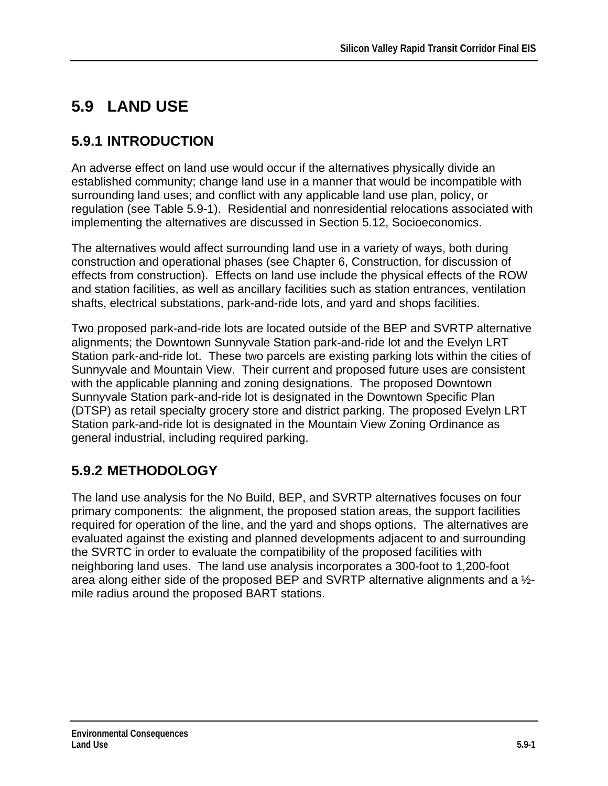# **5.9 LAND USE**

## **5.9.1 INTRODUCTION**

An adverse effect on land use would occur if the alternatives physically divide an established community; change land use in a manner that would be incompatible with surrounding land uses; and conflict with any applicable land use plan, policy, or regulation (see Table 5.9-1). Residential and nonresidential relocations associated with implementing the alternatives are discussed in Section 5.12, Socioeconomics.

The alternatives would affect surrounding land use in a variety of ways, both during construction and operational phases (see Chapter 6, Construction, for discussion of effects from construction). Effects on land use include the physical effects of the ROW and station facilities, as well as ancillary facilities such as station entrances, ventilation shafts, electrical substations, park-and-ride lots, and yard and shops facilities.

Two proposed park-and-ride lots are located outside of the BEP and SVRTP alternative alignments; the Downtown Sunnyvale Station park-and-ride lot and the Evelyn LRT Station park-and-ride lot. These two parcels are existing parking lots within the cities of Sunnyvale and Mountain View. Their current and proposed future uses are consistent with the applicable planning and zoning designations. The proposed Downtown Sunnyvale Station park-and-ride lot is designated in the Downtown Specific Plan (DTSP) as retail specialty grocery store and district parking. The proposed Evelyn LRT Station park-and-ride lot is designated in the Mountain View Zoning Ordinance as general industrial, including required parking.

## **5.9.2 METHODOLOGY**

The land use analysis for the No Build, BEP, and SVRTP alternatives focuses on four primary components: the alignment, the proposed station areas, the support facilities required for operation of the line, and the yard and shops options. The alternatives are evaluated against the existing and planned developments adjacent to and surrounding the SVRTC in order to evaluate the compatibility of the proposed facilities with neighboring land uses. The land use analysis incorporates a 300-foot to 1,200-foot area along either side of the proposed BEP and SVRTP alternative alignments and a ½ mile radius around the proposed BART stations.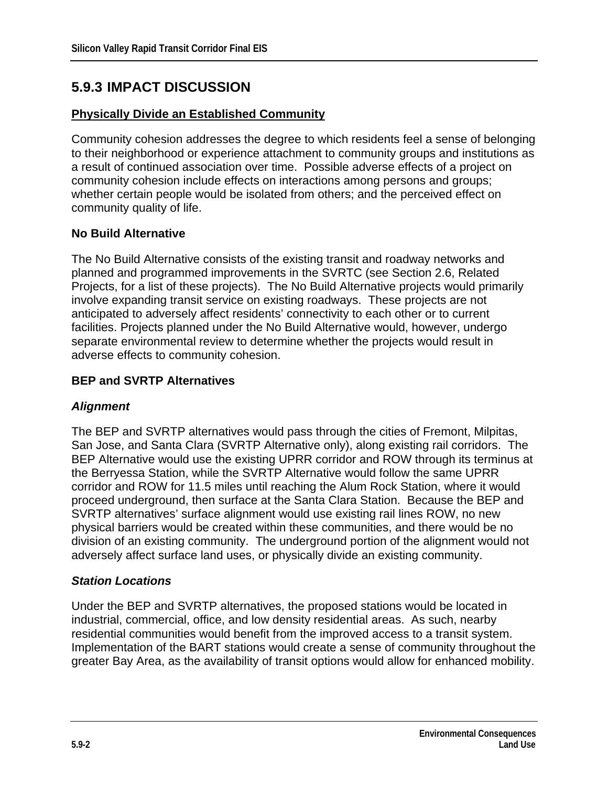## **5.9.3 IMPACT DISCUSSION**

### **Physically Divide an Established Community**

Community cohesion addresses the degree to which residents feel a sense of belonging to their neighborhood or experience attachment to community groups and institutions as a result of continued association over time. Possible adverse effects of a project on community cohesion include effects on interactions among persons and groups; whether certain people would be isolated from others; and the perceived effect on community quality of life.

## **No Build Alternative**

The No Build Alternative consists of the existing transit and roadway networks and planned and programmed improvements in the SVRTC (see Section 2.6, Related Projects, for a list of these projects). The No Build Alternative projects would primarily involve expanding transit service on existing roadways. These projects are not anticipated to adversely affect residents' connectivity to each other or to current facilities. Projects planned under the No Build Alternative would, however, undergo separate environmental review to determine whether the projects would result in adverse effects to community cohesion.

#### **BEP and SVRTP Alternatives**

#### *Alignment*

The BEP and SVRTP alternatives would pass through the cities of Fremont, Milpitas, San Jose, and Santa Clara (SVRTP Alternative only), along existing rail corridors. The BEP Alternative would use the existing UPRR corridor and ROW through its terminus at the Berryessa Station, while the SVRTP Alternative would follow the same UPRR corridor and ROW for 11.5 miles until reaching the Alum Rock Station, where it would proceed underground, then surface at the Santa Clara Station. Because the BEP and SVRTP alternatives' surface alignment would use existing rail lines ROW, no new physical barriers would be created within these communities, and there would be no division of an existing community. The underground portion of the alignment would not adversely affect surface land uses, or physically divide an existing community.

#### *Station Locations*

Under the BEP and SVRTP alternatives, the proposed stations would be located in industrial, commercial, office, and low density residential areas. As such, nearby residential communities would benefit from the improved access to a transit system. Implementation of the BART stations would create a sense of community throughout the greater Bay Area, as the availability of transit options would allow for enhanced mobility.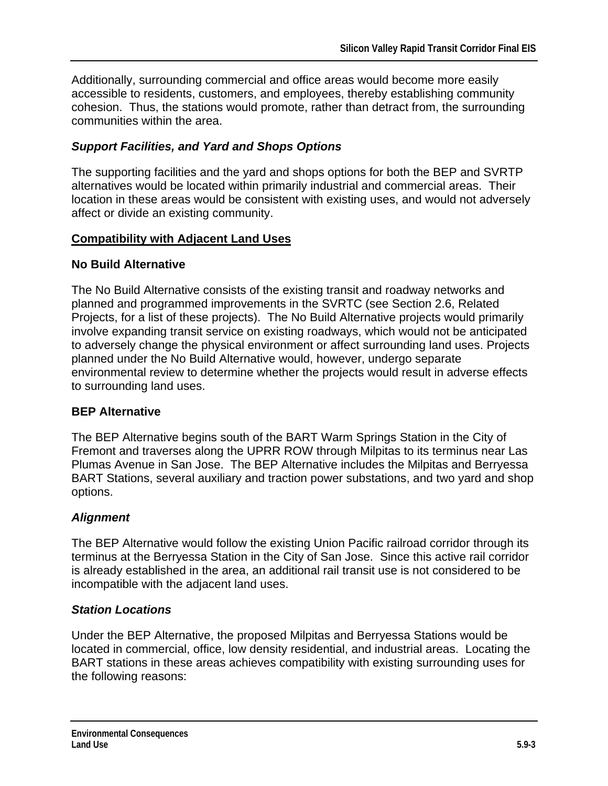Additionally, surrounding commercial and office areas would become more easily accessible to residents, customers, and employees, thereby establishing community cohesion. Thus, the stations would promote, rather than detract from, the surrounding communities within the area.

#### *Support Facilities, and Yard and Shops Options*

The supporting facilities and the yard and shops options for both the BEP and SVRTP alternatives would be located within primarily industrial and commercial areas. Their location in these areas would be consistent with existing uses, and would not adversely affect or divide an existing community.

#### **Compatibility with Adjacent Land Uses**

#### **No Build Alternative**

The No Build Alternative consists of the existing transit and roadway networks and planned and programmed improvements in the SVRTC (see Section 2.6, Related Projects, for a list of these projects). The No Build Alternative projects would primarily involve expanding transit service on existing roadways, which would not be anticipated to adversely change the physical environment or affect surrounding land uses. Projects planned under the No Build Alternative would, however, undergo separate environmental review to determine whether the projects would result in adverse effects to surrounding land uses.

#### **BEP Alternative**

The BEP Alternative begins south of the BART Warm Springs Station in the City of Fremont and traverses along the UPRR ROW through Milpitas to its terminus near Las Plumas Avenue in San Jose. The BEP Alternative includes the Milpitas and Berryessa BART Stations, several auxiliary and traction power substations, and two yard and shop options.

#### *Alignment*

The BEP Alternative would follow the existing Union Pacific railroad corridor through its terminus at the Berryessa Station in the City of San Jose. Since this active rail corridor is already established in the area, an additional rail transit use is not considered to be incompatible with the adjacent land uses.

#### *Station Locations*

Under the BEP Alternative, the proposed Milpitas and Berryessa Stations would be located in commercial, office, low density residential, and industrial areas. Locating the BART stations in these areas achieves compatibility with existing surrounding uses for the following reasons: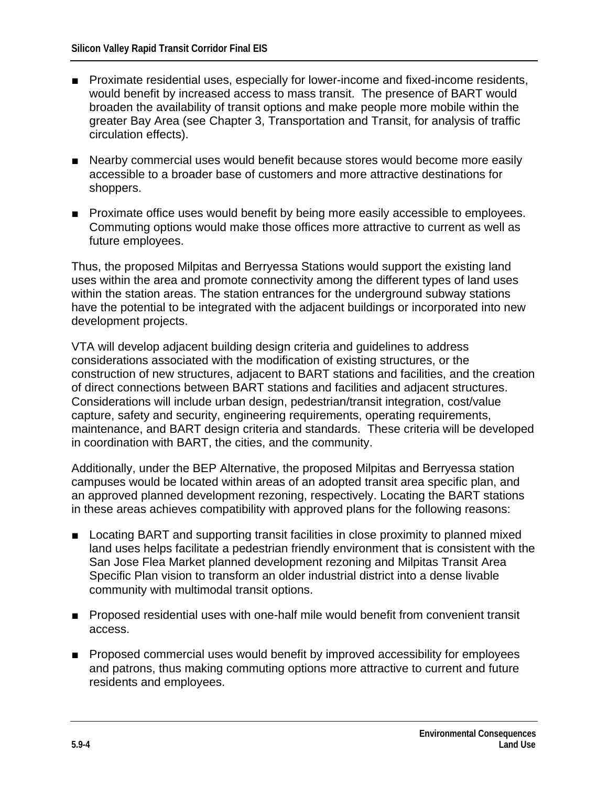- Proximate residential uses, especially for lower-income and fixed-income residents, would benefit by increased access to mass transit. The presence of BART would broaden the availability of transit options and make people more mobile within the greater Bay Area (see Chapter 3, Transportation and Transit, for analysis of traffic circulation effects).
- Nearby commercial uses would benefit because stores would become more easily accessible to a broader base of customers and more attractive destinations for shoppers.
- Proximate office uses would benefit by being more easily accessible to employees. Commuting options would make those offices more attractive to current as well as future employees.

Thus, the proposed Milpitas and Berryessa Stations would support the existing land uses within the area and promote connectivity among the different types of land uses within the station areas. The station entrances for the underground subway stations have the potential to be integrated with the adjacent buildings or incorporated into new development projects.

VTA will develop adjacent building design criteria and guidelines to address considerations associated with the modification of existing structures, or the construction of new structures, adjacent to BART stations and facilities, and the creation of direct connections between BART stations and facilities and adjacent structures. Considerations will include urban design, pedestrian/transit integration, cost/value capture, safety and security, engineering requirements, operating requirements, maintenance, and BART design criteria and standards. These criteria will be developed in coordination with BART, the cities, and the community.

Additionally, under the BEP Alternative, the proposed Milpitas and Berryessa station campuses would be located within areas of an adopted transit area specific plan, and an approved planned development rezoning, respectively. Locating the BART stations in these areas achieves compatibility with approved plans for the following reasons:

- Locating BART and supporting transit facilities in close proximity to planned mixed land uses helps facilitate a pedestrian friendly environment that is consistent with the San Jose Flea Market planned development rezoning and Milpitas Transit Area Specific Plan vision to transform an older industrial district into a dense livable community with multimodal transit options.
- Proposed residential uses with one-half mile would benefit from convenient transit access.
- Proposed commercial uses would benefit by improved accessibility for employees and patrons, thus making commuting options more attractive to current and future residents and employees.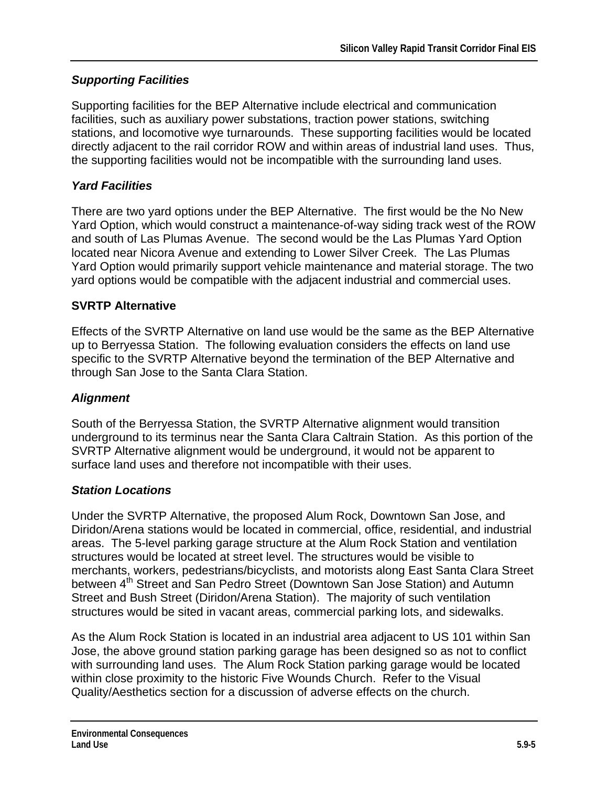## *Supporting Facilities*

Supporting facilities for the BEP Alternative include electrical and communication facilities, such as auxiliary power substations, traction power stations, switching stations, and locomotive wye turnarounds. These supporting facilities would be located directly adjacent to the rail corridor ROW and within areas of industrial land uses. Thus, the supporting facilities would not be incompatible with the surrounding land uses.

## *Yard Facilities*

There are two yard options under the BEP Alternative. The first would be the No New Yard Option, which would construct a maintenance-of-way siding track west of the ROW and south of Las Plumas Avenue. The second would be the Las Plumas Yard Option located near Nicora Avenue and extending to Lower Silver Creek. The Las Plumas Yard Option would primarily support vehicle maintenance and material storage. The two yard options would be compatible with the adjacent industrial and commercial uses.

#### **SVRTP Alternative**

Effects of the SVRTP Alternative on land use would be the same as the BEP Alternative up to Berryessa Station. The following evaluation considers the effects on land use specific to the SVRTP Alternative beyond the termination of the BEP Alternative and through San Jose to the Santa Clara Station.

## *Alignment*

South of the Berryessa Station, the SVRTP Alternative alignment would transition underground to its terminus near the Santa Clara Caltrain Station. As this portion of the SVRTP Alternative alignment would be underground, it would not be apparent to surface land uses and therefore not incompatible with their uses.

## *Station Locations*

Under the SVRTP Alternative, the proposed Alum Rock, Downtown San Jose, and Diridon/Arena stations would be located in commercial, office, residential, and industrial areas. The 5-level parking garage structure at the Alum Rock Station and ventilation structures would be located at street level. The structures would be visible to merchants, workers, pedestrians/bicyclists, and motorists along East Santa Clara Street between 4<sup>th</sup> Street and San Pedro Street (Downtown San Jose Station) and Autumn Street and Bush Street (Diridon/Arena Station). The majority of such ventilation structures would be sited in vacant areas, commercial parking lots, and sidewalks.

As the Alum Rock Station is located in an industrial area adjacent to US 101 within San Jose, the above ground station parking garage has been designed so as not to conflict with surrounding land uses. The Alum Rock Station parking garage would be located within close proximity to the historic Five Wounds Church. Refer to the Visual Quality/Aesthetics section for a discussion of adverse effects on the church.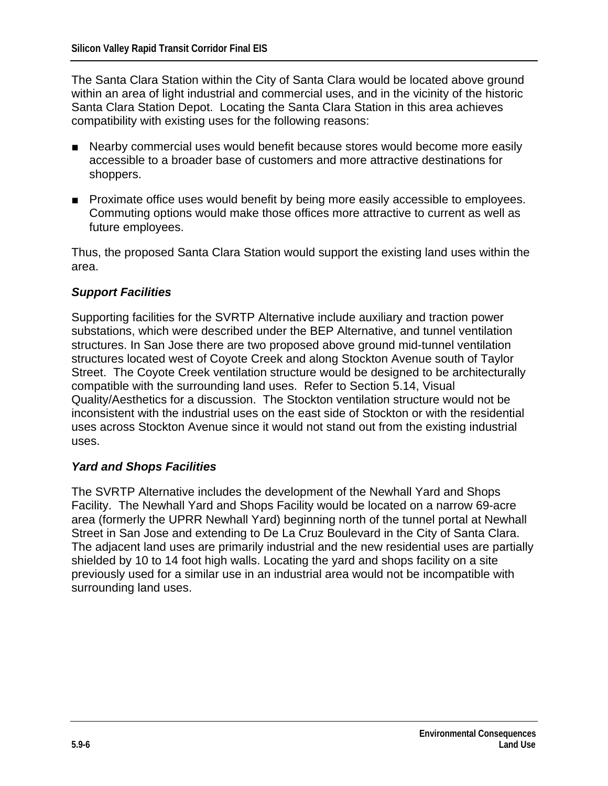The Santa Clara Station within the City of Santa Clara would be located above ground within an area of light industrial and commercial uses, and in the vicinity of the historic Santa Clara Station Depot. Locating the Santa Clara Station in this area achieves compatibility with existing uses for the following reasons:

- Nearby commercial uses would benefit because stores would become more easily accessible to a broader base of customers and more attractive destinations for shoppers.
- Proximate office uses would benefit by being more easily accessible to employees. Commuting options would make those offices more attractive to current as well as future employees.

Thus, the proposed Santa Clara Station would support the existing land uses within the area.

## *Support Facilities*

Supporting facilities for the SVRTP Alternative include auxiliary and traction power substations, which were described under the BEP Alternative, and tunnel ventilation structures. In San Jose there are two proposed above ground mid-tunnel ventilation structures located west of Coyote Creek and along Stockton Avenue south of Taylor Street. The Coyote Creek ventilation structure would be designed to be architecturally compatible with the surrounding land uses. Refer to Section 5.14, Visual Quality/Aesthetics for a discussion. The Stockton ventilation structure would not be inconsistent with the industrial uses on the east side of Stockton or with the residential uses across Stockton Avenue since it would not stand out from the existing industrial uses.

#### *Yard and Shops Facilities*

The SVRTP Alternative includes the development of the Newhall Yard and Shops Facility. The Newhall Yard and Shops Facility would be located on a narrow 69-acre area (formerly the UPRR Newhall Yard) beginning north of the tunnel portal at Newhall Street in San Jose and extending to De La Cruz Boulevard in the City of Santa Clara. The adjacent land uses are primarily industrial and the new residential uses are partially shielded by 10 to 14 foot high walls. Locating the yard and shops facility on a site previously used for a similar use in an industrial area would not be incompatible with surrounding land uses.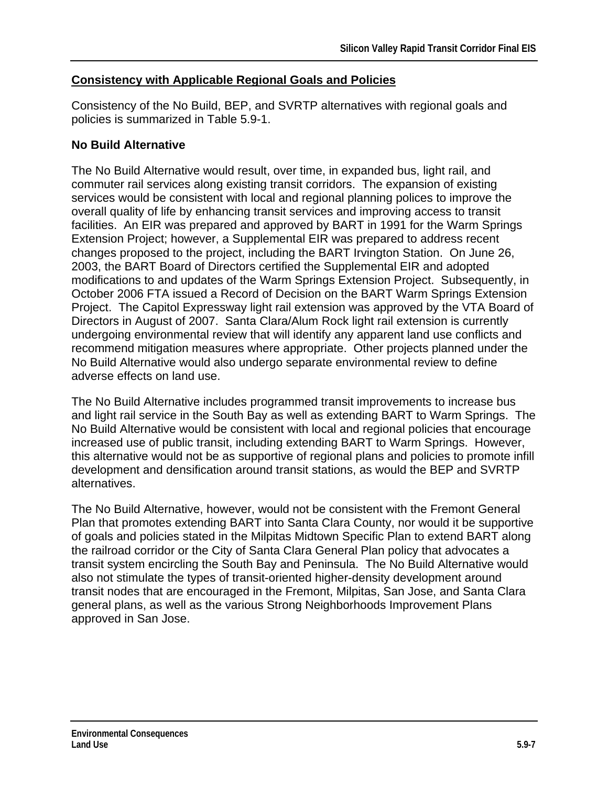## **Consistency with Applicable Regional Goals and Policies**

Consistency of the No Build, BEP, and SVRTP alternatives with regional goals and policies is summarized in Table 5.9-1.

## **No Build Alternative**

The No Build Alternative would result, over time, in expanded bus, light rail, and commuter rail services along existing transit corridors. The expansion of existing services would be consistent with local and regional planning polices to improve the overall quality of life by enhancing transit services and improving access to transit facilities. An EIR was prepared and approved by BART in 1991 for the Warm Springs Extension Project; however, a Supplemental EIR was prepared to address recent changes proposed to the project, including the BART Irvington Station. On June 26, 2003, the BART Board of Directors certified the Supplemental EIR and adopted modifications to and updates of the Warm Springs Extension Project. Subsequently, in October 2006 FTA issued a Record of Decision on the BART Warm Springs Extension Project. The Capitol Expressway light rail extension was approved by the VTA Board of Directors in August of 2007. Santa Clara/Alum Rock light rail extension is currently undergoing environmental review that will identify any apparent land use conflicts and recommend mitigation measures where appropriate. Other projects planned under the No Build Alternative would also undergo separate environmental review to define adverse effects on land use.

The No Build Alternative includes programmed transit improvements to increase bus and light rail service in the South Bay as well as extending BART to Warm Springs. The No Build Alternative would be consistent with local and regional policies that encourage increased use of public transit, including extending BART to Warm Springs. However, this alternative would not be as supportive of regional plans and policies to promote infill development and densification around transit stations, as would the BEP and SVRTP alternatives.

The No Build Alternative, however, would not be consistent with the Fremont General Plan that promotes extending BART into Santa Clara County, nor would it be supportive of goals and policies stated in the Milpitas Midtown Specific Plan to extend BART along the railroad corridor or the City of Santa Clara General Plan policy that advocates a transit system encircling the South Bay and Peninsula. The No Build Alternative would also not stimulate the types of transit-oriented higher-density development around transit nodes that are encouraged in the Fremont, Milpitas, San Jose, and Santa Clara general plans, as well as the various Strong Neighborhoods Improvement Plans approved in San Jose.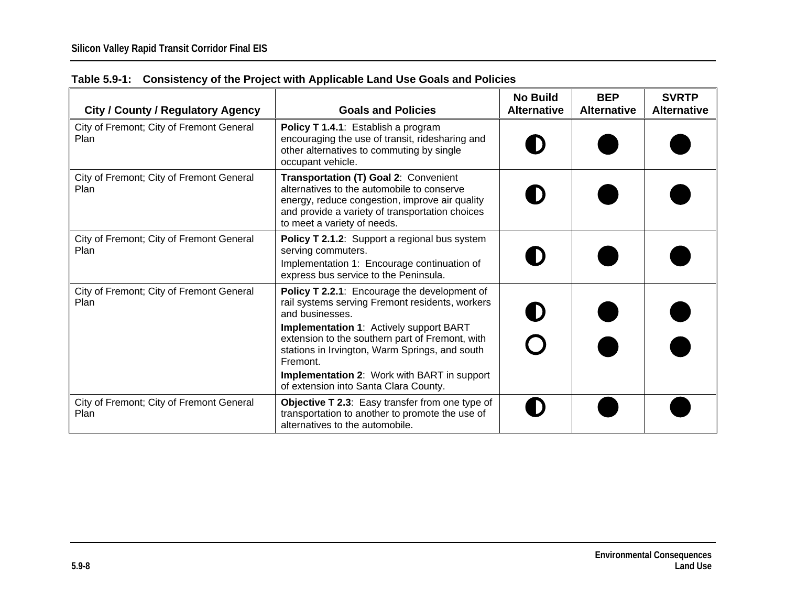| <b>City / County / Regulatory Agency</b>         | <b>Goals and Policies</b>                                                                                                                                                                                                                                                                                                                                                                   | <b>No Build</b><br><b>Alternative</b> | <b>BEP</b><br><b>Alternative</b> | <b>SVRTP</b><br><b>Alternative</b> |
|--------------------------------------------------|---------------------------------------------------------------------------------------------------------------------------------------------------------------------------------------------------------------------------------------------------------------------------------------------------------------------------------------------------------------------------------------------|---------------------------------------|----------------------------------|------------------------------------|
| City of Fremont; City of Fremont General<br>Plan | Policy T 1.4.1: Establish a program<br>encouraging the use of transit, ridesharing and<br>other alternatives to commuting by single<br>occupant vehicle.                                                                                                                                                                                                                                    |                                       |                                  |                                    |
| City of Fremont; City of Fremont General<br>Plan | Transportation (T) Goal 2: Convenient<br>alternatives to the automobile to conserve<br>energy, reduce congestion, improve air quality<br>and provide a variety of transportation choices<br>to meet a variety of needs.                                                                                                                                                                     |                                       |                                  |                                    |
| City of Fremont; City of Fremont General<br>Plan | <b>Policy T 2.1.2:</b> Support a regional bus system<br>serving commuters.<br>Implementation 1: Encourage continuation of<br>express bus service to the Peninsula.                                                                                                                                                                                                                          |                                       |                                  |                                    |
| City of Fremont; City of Fremont General<br>Plan | <b>Policy T 2.2.1:</b> Encourage the development of<br>rail systems serving Fremont residents, workers<br>and businesses.<br><b>Implementation 1: Actively support BART</b><br>extension to the southern part of Fremont, with<br>stations in Irvington, Warm Springs, and south<br>Fremont.<br><b>Implementation 2: Work with BART in support</b><br>of extension into Santa Clara County. |                                       |                                  |                                    |
| City of Fremont; City of Fremont General<br>Plan | Objective T 2.3: Easy transfer from one type of<br>transportation to another to promote the use of<br>alternatives to the automobile.                                                                                                                                                                                                                                                       |                                       |                                  |                                    |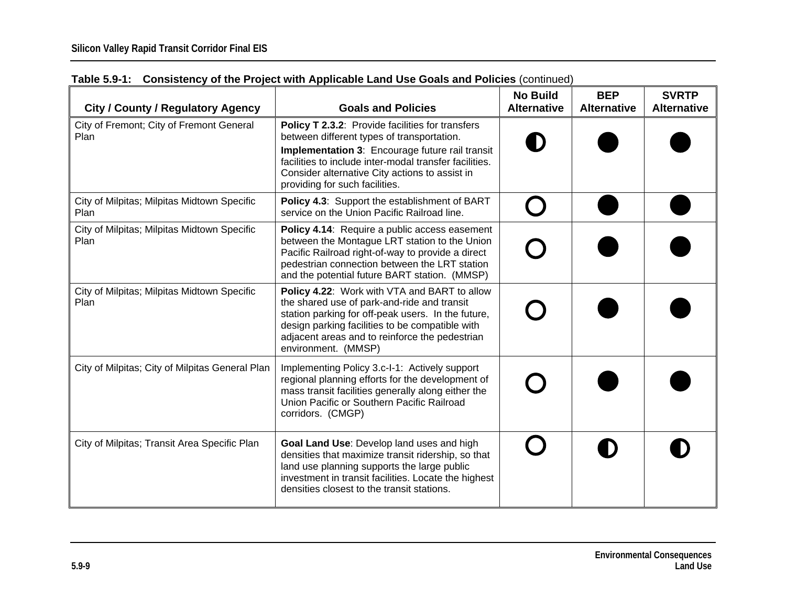| <b>City / County / Regulatory Agency</b>            | <b>Goals and Policies</b>                                                                                                                                                                                                                                                                       | <b>No Build</b><br><b>Alternative</b> | <b>BEP</b><br><b>Alternative</b> | <b>SVRTP</b><br><b>Alternative</b> |
|-----------------------------------------------------|-------------------------------------------------------------------------------------------------------------------------------------------------------------------------------------------------------------------------------------------------------------------------------------------------|---------------------------------------|----------------------------------|------------------------------------|
| City of Fremont; City of Fremont General<br>Plan    | Policy T 2.3.2: Provide facilities for transfers<br>between different types of transportation.<br>Implementation 3: Encourage future rail transit<br>facilities to include inter-modal transfer facilities.<br>Consider alternative City actions to assist in<br>providing for such facilities. |                                       |                                  |                                    |
| City of Milpitas; Milpitas Midtown Specific<br>Plan | Policy 4.3: Support the establishment of BART<br>service on the Union Pacific Railroad line.                                                                                                                                                                                                    |                                       |                                  |                                    |
| City of Milpitas; Milpitas Midtown Specific<br>Plan | <b>Policy 4.14:</b> Require a public access easement<br>between the Montague LRT station to the Union<br>Pacific Railroad right-of-way to provide a direct<br>pedestrian connection between the LRT station<br>and the potential future BART station. (MMSP)                                    |                                       |                                  |                                    |
| City of Milpitas; Milpitas Midtown Specific<br>Plan | Policy 4.22: Work with VTA and BART to allow<br>the shared use of park-and-ride and transit<br>station parking for off-peak users. In the future,<br>design parking facilities to be compatible with<br>adjacent areas and to reinforce the pedestrian<br>environment. (MMSP)                   |                                       |                                  |                                    |
| City of Milpitas; City of Milpitas General Plan     | Implementing Policy 3.c-I-1: Actively support<br>regional planning efforts for the development of<br>mass transit facilities generally along either the<br>Union Pacific or Southern Pacific Railroad<br>corridors. (CMGP)                                                                      |                                       |                                  |                                    |
| City of Milpitas; Transit Area Specific Plan        | Goal Land Use: Develop land uses and high<br>densities that maximize transit ridership, so that<br>land use planning supports the large public<br>investment in transit facilities. Locate the highest<br>densities closest to the transit stations.                                            |                                       |                                  |                                    |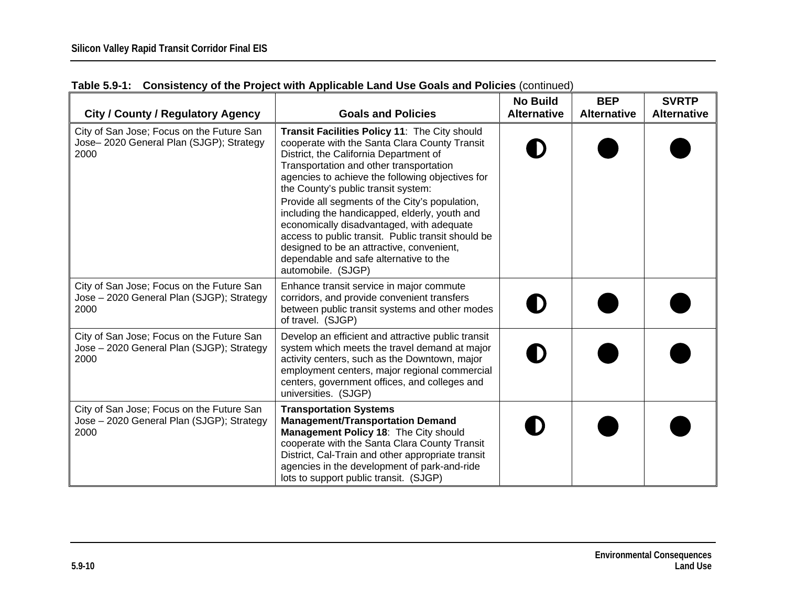| <b>City / County / Regulatory Agency</b>                                                       | <b>Goals and Policies</b>                                                                                                                                                                                                                                                                                                                                                                                                                                                                                                                                                                         | <b>No Build</b><br><b>Alternative</b> | <b>BEP</b><br><b>Alternative</b> | <b>SVRTP</b><br><b>Alternative</b> |
|------------------------------------------------------------------------------------------------|---------------------------------------------------------------------------------------------------------------------------------------------------------------------------------------------------------------------------------------------------------------------------------------------------------------------------------------------------------------------------------------------------------------------------------------------------------------------------------------------------------------------------------------------------------------------------------------------------|---------------------------------------|----------------------------------|------------------------------------|
| City of San Jose; Focus on the Future San<br>Jose-2020 General Plan (SJGP); Strategy<br>2000   | Transit Facilities Policy 11: The City should<br>cooperate with the Santa Clara County Transit<br>District, the California Department of<br>Transportation and other transportation<br>agencies to achieve the following objectives for<br>the County's public transit system:<br>Provide all segments of the City's population,<br>including the handicapped, elderly, youth and<br>economically disadvantaged, with adequate<br>access to public transit. Public transit should be<br>designed to be an attractive, convenient,<br>dependable and safe alternative to the<br>automobile. (SJGP) |                                       |                                  |                                    |
| City of San Jose; Focus on the Future San<br>Jose - 2020 General Plan (SJGP); Strategy<br>2000 | Enhance transit service in major commute<br>corridors, and provide convenient transfers<br>between public transit systems and other modes<br>of travel. (SJGP)                                                                                                                                                                                                                                                                                                                                                                                                                                    |                                       |                                  |                                    |
| City of San Jose; Focus on the Future San<br>Jose - 2020 General Plan (SJGP); Strategy<br>2000 | Develop an efficient and attractive public transit<br>system which meets the travel demand at major<br>activity centers, such as the Downtown, major<br>employment centers, major regional commercial<br>centers, government offices, and colleges and<br>universities. (SJGP)                                                                                                                                                                                                                                                                                                                    |                                       |                                  |                                    |
| City of San Jose; Focus on the Future San<br>Jose - 2020 General Plan (SJGP); Strategy<br>2000 | <b>Transportation Systems</b><br><b>Management/Transportation Demand</b><br>Management Policy 18: The City should<br>cooperate with the Santa Clara County Transit<br>District, Cal-Train and other appropriate transit<br>agencies in the development of park-and-ride<br>lots to support public transit. (SJGP)                                                                                                                                                                                                                                                                                 |                                       |                                  |                                    |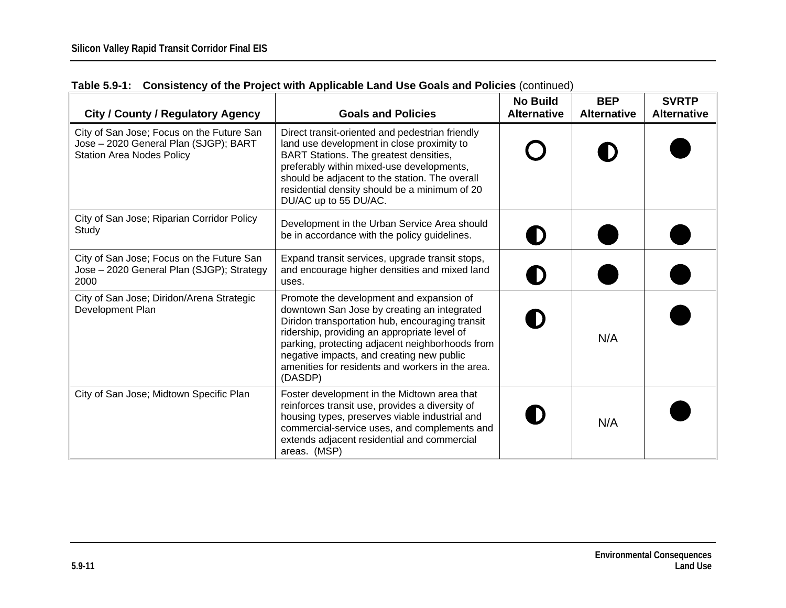| <b>City / County / Regulatory Agency</b>                                                                               | <b>Goals and Policies</b>                                                                                                                                                                                                                                                                                                                                 | <b>No Build</b><br><b>Alternative</b> | <b>BEP</b><br><b>Alternative</b> | <b>SVRTP</b><br><b>Alternative</b> |
|------------------------------------------------------------------------------------------------------------------------|-----------------------------------------------------------------------------------------------------------------------------------------------------------------------------------------------------------------------------------------------------------------------------------------------------------------------------------------------------------|---------------------------------------|----------------------------------|------------------------------------|
| City of San Jose; Focus on the Future San<br>Jose - 2020 General Plan (SJGP); BART<br><b>Station Area Nodes Policy</b> | Direct transit-oriented and pedestrian friendly<br>land use development in close proximity to<br>BART Stations. The greatest densities,<br>preferably within mixed-use developments,<br>should be adjacent to the station. The overall<br>residential density should be a minimum of 20<br>DU/AC up to 55 DU/AC.                                          |                                       |                                  |                                    |
| City of San Jose; Riparian Corridor Policy<br>Study                                                                    | Development in the Urban Service Area should<br>be in accordance with the policy guidelines.                                                                                                                                                                                                                                                              |                                       |                                  |                                    |
| City of San Jose; Focus on the Future San<br>Jose - 2020 General Plan (SJGP); Strategy<br>2000                         | Expand transit services, upgrade transit stops,<br>and encourage higher densities and mixed land<br>uses.                                                                                                                                                                                                                                                 |                                       |                                  |                                    |
| City of San Jose; Diridon/Arena Strategic<br>Development Plan                                                          | Promote the development and expansion of<br>downtown San Jose by creating an integrated<br>Diridon transportation hub, encouraging transit<br>ridership, providing an appropriate level of<br>parking, protecting adjacent neighborhoods from<br>negative impacts, and creating new public<br>amenities for residents and workers in the area.<br>(DASDP) |                                       | N/A                              |                                    |
| City of San Jose; Midtown Specific Plan                                                                                | Foster development in the Midtown area that<br>reinforces transit use, provides a diversity of<br>housing types, preserves viable industrial and<br>commercial-service uses, and complements and<br>extends adjacent residential and commercial<br>areas. (MSP)                                                                                           |                                       | N/A                              |                                    |

| Table 5.9-1: Consistency of the Project with Applicable Land Use Goals and Policies (continued) |  |  |
|-------------------------------------------------------------------------------------------------|--|--|
|-------------------------------------------------------------------------------------------------|--|--|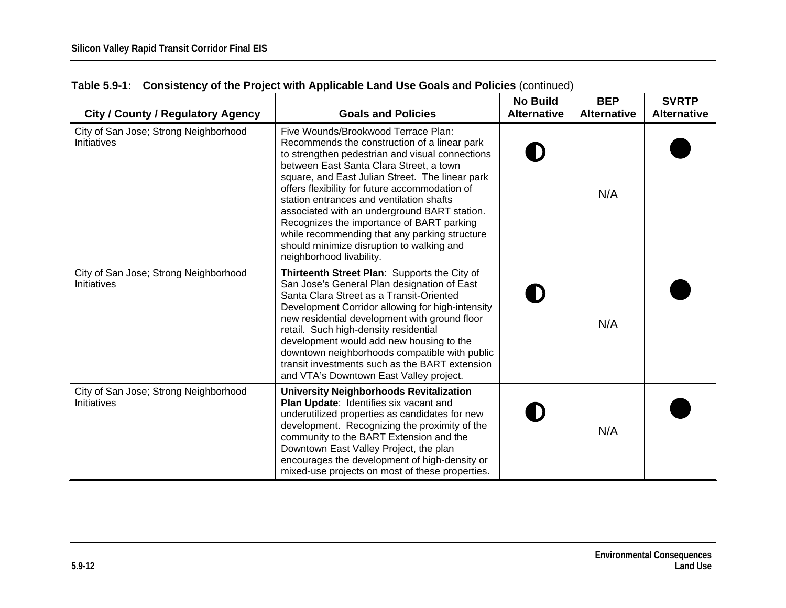| <b>City / County / Regulatory Agency</b>             | <b>Goals and Policies</b>                                                                                                                                                                                                                                                                                                                                                                                                                                                                                                                                 | <b>No Build</b><br><b>Alternative</b> | <b>BEP</b><br><b>Alternative</b> | <b>SVRTP</b><br><b>Alternative</b> |
|------------------------------------------------------|-----------------------------------------------------------------------------------------------------------------------------------------------------------------------------------------------------------------------------------------------------------------------------------------------------------------------------------------------------------------------------------------------------------------------------------------------------------------------------------------------------------------------------------------------------------|---------------------------------------|----------------------------------|------------------------------------|
| City of San Jose; Strong Neighborhood<br>Initiatives | Five Wounds/Brookwood Terrace Plan:<br>Recommends the construction of a linear park<br>to strengthen pedestrian and visual connections<br>between East Santa Clara Street, a town<br>square, and East Julian Street. The linear park<br>offers flexibility for future accommodation of<br>station entrances and ventilation shafts<br>associated with an underground BART station.<br>Recognizes the importance of BART parking<br>while recommending that any parking structure<br>should minimize disruption to walking and<br>neighborhood livability. |                                       | N/A                              |                                    |
| City of San Jose; Strong Neighborhood<br>Initiatives | Thirteenth Street Plan: Supports the City of<br>San Jose's General Plan designation of East<br>Santa Clara Street as a Transit-Oriented<br>Development Corridor allowing for high-intensity<br>new residential development with ground floor<br>retail. Such high-density residential<br>development would add new housing to the<br>downtown neighborhoods compatible with public<br>transit investments such as the BART extension<br>and VTA's Downtown East Valley project.                                                                           |                                       | N/A                              |                                    |
| City of San Jose; Strong Neighborhood<br>Initiatives | <b>University Neighborhoods Revitalization</b><br>Plan Update: Identifies six vacant and<br>underutilized properties as candidates for new<br>development. Recognizing the proximity of the<br>community to the BART Extension and the<br>Downtown East Valley Project, the plan<br>encourages the development of high-density or<br>mixed-use projects on most of these properties.                                                                                                                                                                      |                                       | N/A                              |                                    |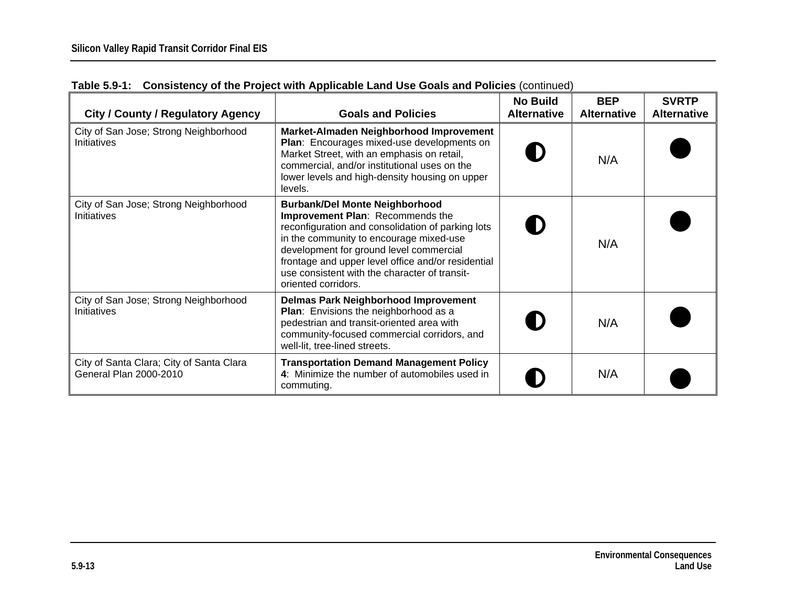| <b>City / County / Regulatory Agency</b>                           | <b>Goals and Policies</b>                                                                                                                                                                                                                                                                                                                          | <b>No Build</b><br><b>Alternative</b> | <b>BEP</b><br><b>Alternative</b> | <b>SVRTP</b><br><b>Alternative</b> |
|--------------------------------------------------------------------|----------------------------------------------------------------------------------------------------------------------------------------------------------------------------------------------------------------------------------------------------------------------------------------------------------------------------------------------------|---------------------------------------|----------------------------------|------------------------------------|
| City of San Jose; Strong Neighborhood<br>Initiatives               | Market-Almaden Neighborhood Improvement<br><b>Plan:</b> Encourages mixed-use developments on<br>Market Street, with an emphasis on retail,<br>commercial, and/or institutional uses on the<br>lower levels and high-density housing on upper<br>levels.                                                                                            |                                       | N/A                              |                                    |
| City of San Jose; Strong Neighborhood<br>Initiatives               | <b>Burbank/Del Monte Neighborhood</b><br>Improvement Plan: Recommends the<br>reconfiguration and consolidation of parking lots<br>in the community to encourage mixed-use<br>development for ground level commercial<br>frontage and upper level office and/or residential<br>use consistent with the character of transit-<br>oriented corridors. |                                       | N/A                              |                                    |
| City of San Jose; Strong Neighborhood<br>Initiatives               | <b>Delmas Park Neighborhood Improvement</b><br><b>Plan:</b> Envisions the neighborhood as a<br>pedestrian and transit-oriented area with<br>community-focused commercial corridors, and<br>well-lit, tree-lined streets.                                                                                                                           |                                       | N/A                              |                                    |
| City of Santa Clara; City of Santa Clara<br>General Plan 2000-2010 | <b>Transportation Demand Management Policy</b><br>4: Minimize the number of automobiles used in<br>commuting.                                                                                                                                                                                                                                      |                                       | N/A                              |                                    |

**Table 5.9-1: Consistency of the Project with Applicable Land Use Goals and Policies** (continued)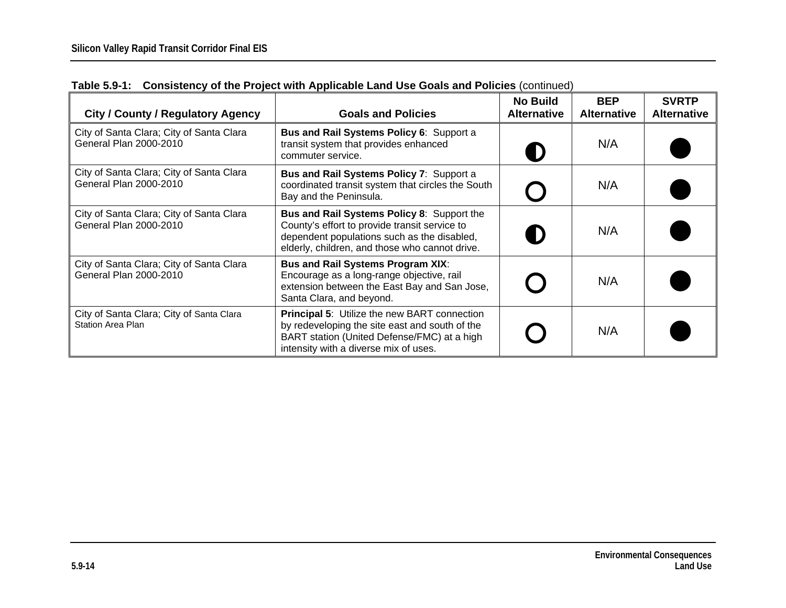| <b>City / County / Regulatory Agency</b>                             | <b>Goals and Policies</b>                                                                                                                                                                           | <b>No Build</b><br><b>Alternative</b> | <b>BEP</b><br><b>Alternative</b> | <b>SVRTP</b><br><b>Alternative</b> |
|----------------------------------------------------------------------|-----------------------------------------------------------------------------------------------------------------------------------------------------------------------------------------------------|---------------------------------------|----------------------------------|------------------------------------|
| City of Santa Clara; City of Santa Clara<br>General Plan 2000-2010   | Bus and Rail Systems Policy 6: Support a<br>transit system that provides enhanced<br>commuter service.                                                                                              |                                       | N/A                              |                                    |
| City of Santa Clara; City of Santa Clara<br>General Plan 2000-2010   | <b>Bus and Rail Systems Policy 7: Support a</b><br>coordinated transit system that circles the South<br>Bay and the Peninsula.                                                                      |                                       | N/A                              |                                    |
| City of Santa Clara; City of Santa Clara<br>General Plan 2000-2010   | <b>Bus and Rail Systems Policy 8: Support the</b><br>County's effort to provide transit service to<br>dependent populations such as the disabled,<br>elderly, children, and those who cannot drive. |                                       | N/A                              |                                    |
| City of Santa Clara; City of Santa Clara<br>General Plan 2000-2010   | <b>Bus and Rail Systems Program XIX:</b><br>Encourage as a long-range objective, rail<br>extension between the East Bay and San Jose,<br>Santa Clara, and beyond.                                   |                                       | N/A                              |                                    |
| City of Santa Clara; City of Santa Clara<br><b>Station Area Plan</b> | <b>Principal 5:</b> Utilize the new BART connection<br>by redeveloping the site east and south of the<br>BART station (United Defense/FMC) at a high<br>intensity with a diverse mix of uses.       |                                       | N/A                              |                                    |

|  |  | Table 5.9-1: Consistency of the Project with Applicable Land Use Goals and Policies (continued) |  |
|--|--|-------------------------------------------------------------------------------------------------|--|
|  |  |                                                                                                 |  |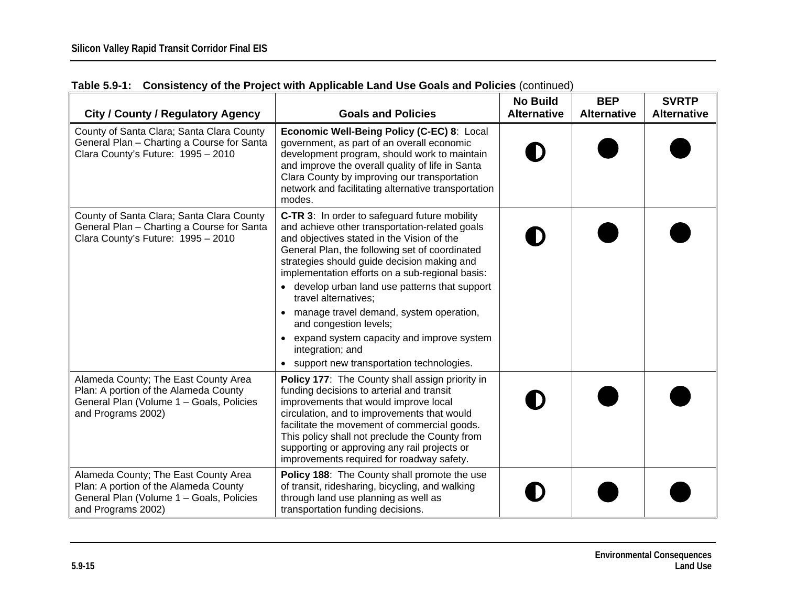| <b>City / County / Regulatory Agency</b>                                                                                                        | <b>Goals and Policies</b>                                                                                                                                                                                                                                                                                                                                                                                                                                                                                                                                          | <b>No Build</b><br><b>Alternative</b> | <b>BEP</b><br><b>Alternative</b> | <b>SVRTP</b><br><b>Alternative</b> |
|-------------------------------------------------------------------------------------------------------------------------------------------------|--------------------------------------------------------------------------------------------------------------------------------------------------------------------------------------------------------------------------------------------------------------------------------------------------------------------------------------------------------------------------------------------------------------------------------------------------------------------------------------------------------------------------------------------------------------------|---------------------------------------|----------------------------------|------------------------------------|
| County of Santa Clara; Santa Clara County<br>General Plan - Charting a Course for Santa<br>Clara County's Future: 1995 - 2010                   | Economic Well-Being Policy (C-EC) 8: Local<br>government, as part of an overall economic<br>development program, should work to maintain<br>and improve the overall quality of life in Santa<br>Clara County by improving our transportation<br>network and facilitating alternative transportation<br>modes.                                                                                                                                                                                                                                                      |                                       |                                  |                                    |
| County of Santa Clara; Santa Clara County<br>General Plan - Charting a Course for Santa<br>Clara County's Future: 1995 - 2010                   | <b>C-TR 3:</b> In order to safeguard future mobility<br>and achieve other transportation-related goals<br>and objectives stated in the Vision of the<br>General Plan, the following set of coordinated<br>strategies should guide decision making and<br>implementation efforts on a sub-regional basis:<br>develop urban land use patterns that support<br>travel alternatives;<br>manage travel demand, system operation,<br>and congestion levels;<br>expand system capacity and improve system<br>integration; and<br>support new transportation technologies. |                                       |                                  |                                    |
| Alameda County; The East County Area<br>Plan: A portion of the Alameda County<br>General Plan (Volume 1 - Goals, Policies<br>and Programs 2002) | Policy 177: The County shall assign priority in<br>funding decisions to arterial and transit<br>improvements that would improve local<br>circulation, and to improvements that would<br>facilitate the movement of commercial goods.<br>This policy shall not preclude the County from<br>supporting or approving any rail projects or<br>improvements required for roadway safety.                                                                                                                                                                                |                                       |                                  |                                    |
| Alameda County; The East County Area<br>Plan: A portion of the Alameda County<br>General Plan (Volume 1 - Goals, Policies<br>and Programs 2002) | Policy 188: The County shall promote the use<br>of transit, ridesharing, bicycling, and walking<br>through land use planning as well as<br>transportation funding decisions.                                                                                                                                                                                                                                                                                                                                                                                       |                                       |                                  |                                    |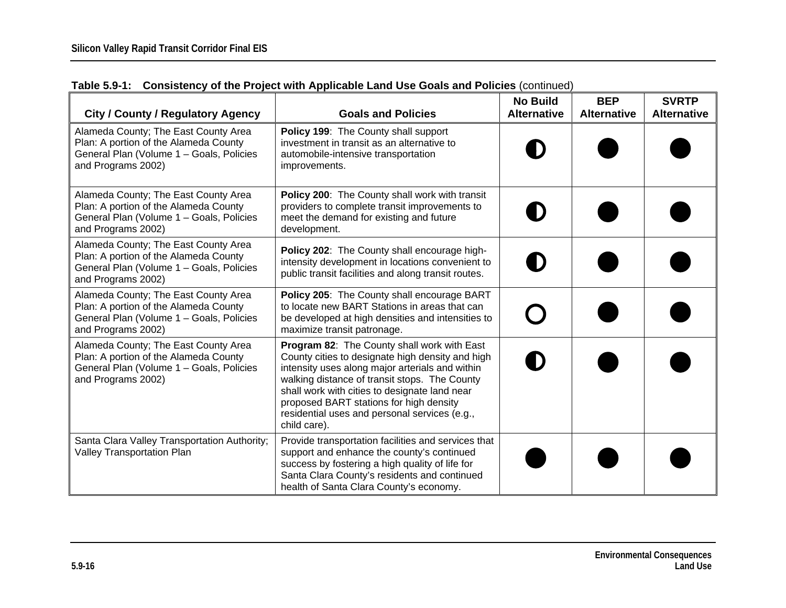| <b>City / County / Regulatory Agency</b>                                                                                                        | <b>Goals and Policies</b>                                                                                                                                                                                                                                                                                                                                        | <b>No Build</b><br><b>Alternative</b> | <b>BEP</b><br><b>Alternative</b> | <b>SVRTP</b><br><b>Alternative</b> |
|-------------------------------------------------------------------------------------------------------------------------------------------------|------------------------------------------------------------------------------------------------------------------------------------------------------------------------------------------------------------------------------------------------------------------------------------------------------------------------------------------------------------------|---------------------------------------|----------------------------------|------------------------------------|
| Alameda County; The East County Area<br>Plan: A portion of the Alameda County<br>General Plan (Volume 1 - Goals, Policies<br>and Programs 2002) | Policy 199: The County shall support<br>investment in transit as an alternative to<br>automobile-intensive transportation<br>improvements.                                                                                                                                                                                                                       |                                       |                                  |                                    |
| Alameda County; The East County Area<br>Plan: A portion of the Alameda County<br>General Plan (Volume 1 - Goals, Policies<br>and Programs 2002) | Policy 200: The County shall work with transit<br>providers to complete transit improvements to<br>meet the demand for existing and future<br>development.                                                                                                                                                                                                       |                                       |                                  |                                    |
| Alameda County; The East County Area<br>Plan: A portion of the Alameda County<br>General Plan (Volume 1 - Goals, Policies<br>and Programs 2002) | Policy 202: The County shall encourage high-<br>intensity development in locations convenient to<br>public transit facilities and along transit routes.                                                                                                                                                                                                          | I)                                    |                                  |                                    |
| Alameda County; The East County Area<br>Plan: A portion of the Alameda County<br>General Plan (Volume 1 - Goals, Policies<br>and Programs 2002) | Policy 205: The County shall encourage BART<br>to locate new BART Stations in areas that can<br>be developed at high densities and intensities to<br>maximize transit patronage.                                                                                                                                                                                 |                                       |                                  |                                    |
| Alameda County; The East County Area<br>Plan: A portion of the Alameda County<br>General Plan (Volume 1 - Goals, Policies<br>and Programs 2002) | Program 82: The County shall work with East<br>County cities to designate high density and high<br>intensity uses along major arterials and within<br>walking distance of transit stops. The County<br>shall work with cities to designate land near<br>proposed BART stations for high density<br>residential uses and personal services (e.g.,<br>child care). |                                       |                                  |                                    |
| Santa Clara Valley Transportation Authority;<br>Valley Transportation Plan                                                                      | Provide transportation facilities and services that<br>support and enhance the county's continued<br>success by fostering a high quality of life for<br>Santa Clara County's residents and continued<br>health of Santa Clara County's economy.                                                                                                                  |                                       |                                  |                                    |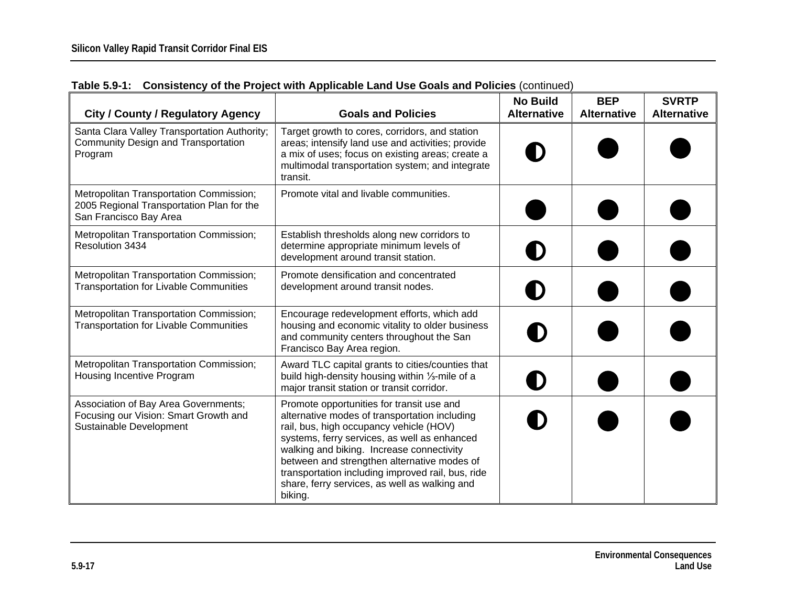| <b>City / County / Regulatory Agency</b>                                                                       | <b>Goals and Policies</b>                                                                                                                                                                                                                                                                                                                                                                          | <b>No Build</b><br><b>Alternative</b> | <b>BEP</b><br><b>Alternative</b> | <b>SVRTP</b><br><b>Alternative</b> |
|----------------------------------------------------------------------------------------------------------------|----------------------------------------------------------------------------------------------------------------------------------------------------------------------------------------------------------------------------------------------------------------------------------------------------------------------------------------------------------------------------------------------------|---------------------------------------|----------------------------------|------------------------------------|
| Santa Clara Valley Transportation Authority;<br>Community Design and Transportation<br>Program                 | Target growth to cores, corridors, and station<br>areas; intensify land use and activities; provide<br>a mix of uses; focus on existing areas; create a<br>multimodal transportation system; and integrate<br>transit.                                                                                                                                                                             |                                       |                                  |                                    |
| Metropolitan Transportation Commission;<br>2005 Regional Transportation Plan for the<br>San Francisco Bay Area | Promote vital and livable communities.                                                                                                                                                                                                                                                                                                                                                             |                                       |                                  |                                    |
| Metropolitan Transportation Commission;<br>Resolution 3434                                                     | Establish thresholds along new corridors to<br>determine appropriate minimum levels of<br>development around transit station.                                                                                                                                                                                                                                                                      |                                       |                                  |                                    |
| Metropolitan Transportation Commission;<br><b>Transportation for Livable Communities</b>                       | Promote densification and concentrated<br>development around transit nodes.                                                                                                                                                                                                                                                                                                                        |                                       |                                  |                                    |
| Metropolitan Transportation Commission;<br><b>Transportation for Livable Communities</b>                       | Encourage redevelopment efforts, which add<br>housing and economic vitality to older business<br>and community centers throughout the San<br>Francisco Bay Area region.                                                                                                                                                                                                                            |                                       |                                  |                                    |
| Metropolitan Transportation Commission;<br>Housing Incentive Program                                           | Award TLC capital grants to cities/counties that<br>build high-density housing within 1/3-mile of a<br>major transit station or transit corridor.                                                                                                                                                                                                                                                  | D                                     |                                  |                                    |
| Association of Bay Area Governments;<br>Focusing our Vision: Smart Growth and<br>Sustainable Development       | Promote opportunities for transit use and<br>alternative modes of transportation including<br>rail, bus, high occupancy vehicle (HOV)<br>systems, ferry services, as well as enhanced<br>walking and biking. Increase connectivity<br>between and strengthen alternative modes of<br>transportation including improved rail, bus, ride<br>share, ferry services, as well as walking and<br>biking. |                                       |                                  |                                    |

|  |  | Table 5.9-1: $\;$ Consistency of the Project with Applicable Land Use Goals and Policies (continued) $\;$ |  |  |
|--|--|-----------------------------------------------------------------------------------------------------------|--|--|
|  |  |                                                                                                           |  |  |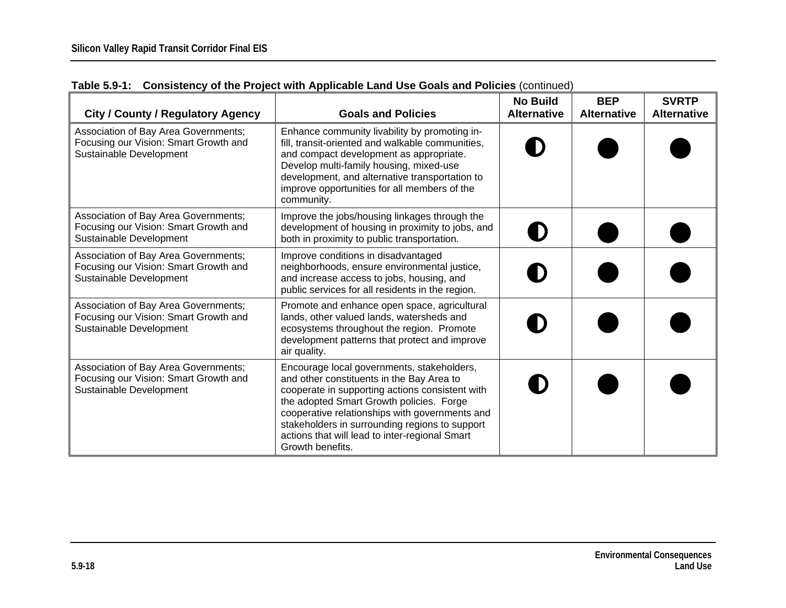| <b>City / County / Regulatory Agency</b>                                                                 | <b>Goals and Policies</b>                                                                                                                                                                                                                                                                                                                                        | <b>No Build</b><br><b>Alternative</b> | <b>BEP</b><br><b>Alternative</b> | <b>SVRTP</b><br><b>Alternative</b> |
|----------------------------------------------------------------------------------------------------------|------------------------------------------------------------------------------------------------------------------------------------------------------------------------------------------------------------------------------------------------------------------------------------------------------------------------------------------------------------------|---------------------------------------|----------------------------------|------------------------------------|
| Association of Bay Area Governments;<br>Focusing our Vision: Smart Growth and<br>Sustainable Development | Enhance community livability by promoting in-<br>fill, transit-oriented and walkable communities,<br>and compact development as appropriate.<br>Develop multi-family housing, mixed-use<br>development, and alternative transportation to<br>improve opportunities for all members of the<br>community.                                                          |                                       |                                  |                                    |
| Association of Bay Area Governments;<br>Focusing our Vision: Smart Growth and<br>Sustainable Development | Improve the jobs/housing linkages through the<br>development of housing in proximity to jobs, and<br>both in proximity to public transportation.                                                                                                                                                                                                                 |                                       |                                  |                                    |
| Association of Bay Area Governments;<br>Focusing our Vision: Smart Growth and<br>Sustainable Development | Improve conditions in disadvantaged<br>neighborhoods, ensure environmental justice,<br>and increase access to jobs, housing, and<br>public services for all residents in the region.                                                                                                                                                                             |                                       |                                  |                                    |
| Association of Bay Area Governments;<br>Focusing our Vision: Smart Growth and<br>Sustainable Development | Promote and enhance open space, agricultural<br>lands, other valued lands, watersheds and<br>ecosystems throughout the region. Promote<br>development patterns that protect and improve<br>air quality.                                                                                                                                                          |                                       |                                  |                                    |
| Association of Bay Area Governments;<br>Focusing our Vision: Smart Growth and<br>Sustainable Development | Encourage local governments, stakeholders,<br>and other constituents in the Bay Area to<br>cooperate in supporting actions consistent with<br>the adopted Smart Growth policies. Forge<br>cooperative relationships with governments and<br>stakeholders in surrounding regions to support<br>actions that will lead to inter-regional Smart<br>Growth benefits. |                                       |                                  |                                    |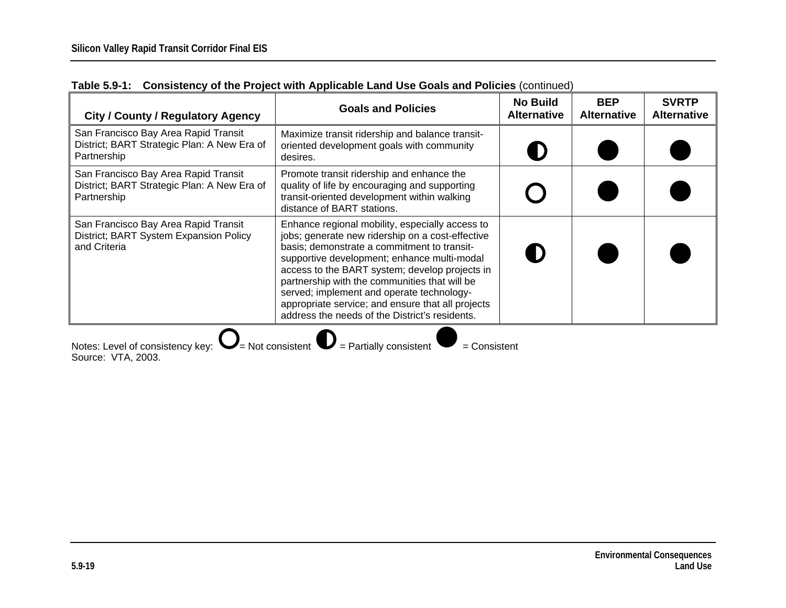| <b>City / County / Regulatory Agency</b>                                                           | <b>Goals and Policies</b>                                                                                                                                                                                                                                                                                                                                                                                                                                | <b>No Build</b><br><b>Alternative</b> | <b>BEP</b><br><b>Alternative</b> | <b>SVRTP</b><br><b>Alternative</b> |
|----------------------------------------------------------------------------------------------------|----------------------------------------------------------------------------------------------------------------------------------------------------------------------------------------------------------------------------------------------------------------------------------------------------------------------------------------------------------------------------------------------------------------------------------------------------------|---------------------------------------|----------------------------------|------------------------------------|
| San Francisco Bay Area Rapid Transit<br>District; BART Strategic Plan: A New Era of<br>Partnership | Maximize transit ridership and balance transit-<br>oriented development goals with community<br>desires.                                                                                                                                                                                                                                                                                                                                                 |                                       |                                  |                                    |
| San Francisco Bay Area Rapid Transit<br>District; BART Strategic Plan: A New Era of<br>Partnership | Promote transit ridership and enhance the<br>quality of life by encouraging and supporting<br>transit-oriented development within walking<br>distance of BART stations.                                                                                                                                                                                                                                                                                  |                                       |                                  |                                    |
| San Francisco Bay Area Rapid Transit<br>District; BART System Expansion Policy<br>and Criteria     | Enhance regional mobility, especially access to<br>jobs; generate new ridership on a cost-effective<br>basis; demonstrate a commitment to transit-<br>supportive development; enhance multi-modal<br>access to the BART system; develop projects in<br>partnership with the communities that will be<br>served; implement and operate technology-<br>appropriate service; and ensure that all projects<br>address the needs of the District's residents. |                                       |                                  |                                    |

| Table 5.9-1: Consistency of the Project with Applicable Land Use Goals and Policies (continued) |  |  |  |  |
|-------------------------------------------------------------------------------------------------|--|--|--|--|
|                                                                                                 |  |  |  |  |

Notes: Level of consistency key:  $\bigvee$  = Not consistent  $\bigvee$  = Partially consistent  $\bigvee$  = Consistent Source: VTA, 2003.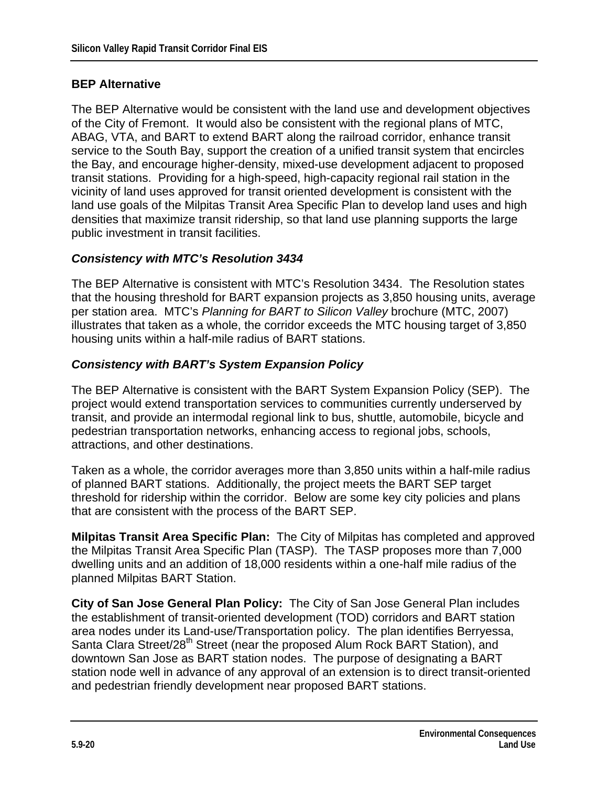## **BEP Alternative**

The BEP Alternative would be consistent with the land use and development objectives of the City of Fremont. It would also be consistent with the regional plans of MTC, ABAG, VTA, and BART to extend BART along the railroad corridor, enhance transit service to the South Bay, support the creation of a unified transit system that encircles the Bay, and encourage higher-density, mixed-use development adjacent to proposed transit stations. Providing for a high-speed, high-capacity regional rail station in the vicinity of land uses approved for transit oriented development is consistent with the land use goals of the Milpitas Transit Area Specific Plan to develop land uses and high densities that maximize transit ridership, so that land use planning supports the large public investment in transit facilities.

#### *Consistency with MTC's Resolution 3434*

The BEP Alternative is consistent with MTC's Resolution 3434. The Resolution states that the housing threshold for BART expansion projects as 3,850 housing units, average per station area. MTC's *Planning for BART to Silicon Valley* brochure (MTC, 2007) illustrates that taken as a whole, the corridor exceeds the MTC housing target of 3,850 housing units within a half-mile radius of BART stations.

## *Consistency with BART's System Expansion Policy*

The BEP Alternative is consistent with the BART System Expansion Policy (SEP). The project would extend transportation services to communities currently underserved by transit, and provide an intermodal regional link to bus, shuttle, automobile, bicycle and pedestrian transportation networks, enhancing access to regional jobs, schools, attractions, and other destinations.

Taken as a whole, the corridor averages more than 3,850 units within a half-mile radius of planned BART stations. Additionally, the project meets the BART SEP target threshold for ridership within the corridor. Below are some key city policies and plans that are consistent with the process of the BART SEP.

**Milpitas Transit Area Specific Plan:** The City of Milpitas has completed and approved the Milpitas Transit Area Specific Plan (TASP). The TASP proposes more than 7,000 dwelling units and an addition of 18,000 residents within a one-half mile radius of the planned Milpitas BART Station.

**City of San Jose General Plan Policy:** The City of San Jose General Plan includes the establishment of transit-oriented development (TOD) corridors and BART station area nodes under its Land-use/Transportation policy. The plan identifies Berryessa, Santa Clara Street/28<sup>th</sup> Street (near the proposed Alum Rock BART Station), and downtown San Jose as BART station nodes. The purpose of designating a BART station node well in advance of any approval of an extension is to direct transit-oriented and pedestrian friendly development near proposed BART stations.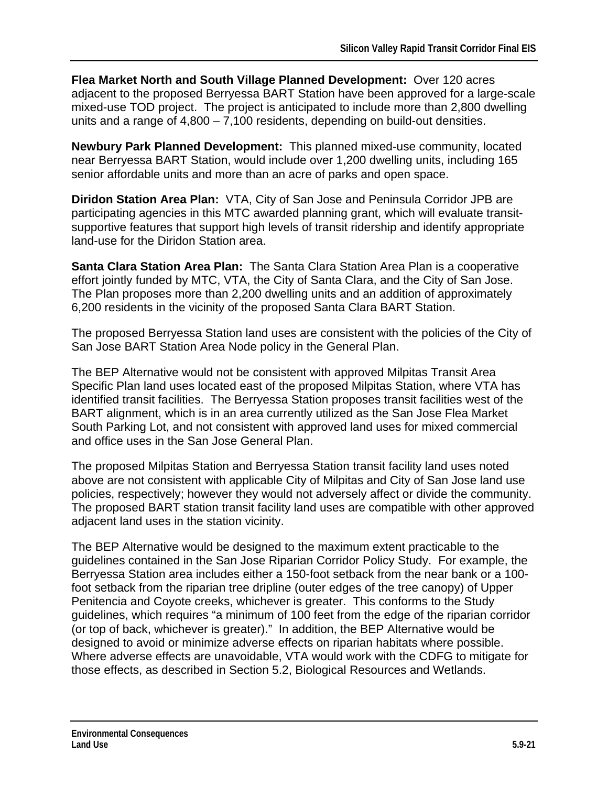**Flea Market North and South Village Planned Development:** Over 120 acres adjacent to the proposed Berryessa BART Station have been approved for a large-scale mixed-use TOD project. The project is anticipated to include more than 2,800 dwelling units and a range of 4,800 – 7,100 residents, depending on build-out densities.

**Newbury Park Planned Development:** This planned mixed-use community, located near Berryessa BART Station, would include over 1,200 dwelling units, including 165 senior affordable units and more than an acre of parks and open space.

**Diridon Station Area Plan:** VTA, City of San Jose and Peninsula Corridor JPB are participating agencies in this MTC awarded planning grant, which will evaluate transitsupportive features that support high levels of transit ridership and identify appropriate land-use for the Diridon Station area.

**Santa Clara Station Area Plan:** The Santa Clara Station Area Plan is a cooperative effort jointly funded by MTC, VTA, the City of Santa Clara, and the City of San Jose. The Plan proposes more than 2,200 dwelling units and an addition of approximately 6,200 residents in the vicinity of the proposed Santa Clara BART Station.

The proposed Berryessa Station land uses are consistent with the policies of the City of San Jose BART Station Area Node policy in the General Plan.

The BEP Alternative would not be consistent with approved Milpitas Transit Area Specific Plan land uses located east of the proposed Milpitas Station, where VTA has identified transit facilities. The Berryessa Station proposes transit facilities west of the BART alignment, which is in an area currently utilized as the San Jose Flea Market South Parking Lot, and not consistent with approved land uses for mixed commercial and office uses in the San Jose General Plan.

The proposed Milpitas Station and Berryessa Station transit facility land uses noted above are not consistent with applicable City of Milpitas and City of San Jose land use policies, respectively; however they would not adversely affect or divide the community. The proposed BART station transit facility land uses are compatible with other approved adjacent land uses in the station vicinity.

The BEP Alternative would be designed to the maximum extent practicable to the guidelines contained in the San Jose Riparian Corridor Policy Study. For example, the Berryessa Station area includes either a 150-foot setback from the near bank or a 100 foot setback from the riparian tree dripline (outer edges of the tree canopy) of Upper Penitencia and Coyote creeks, whichever is greater. This conforms to the Study guidelines, which requires "a minimum of 100 feet from the edge of the riparian corridor (or top of back, whichever is greater)." In addition, the BEP Alternative would be designed to avoid or minimize adverse effects on riparian habitats where possible. Where adverse effects are unavoidable, VTA would work with the CDFG to mitigate for those effects, as described in Section 5.2, Biological Resources and Wetlands.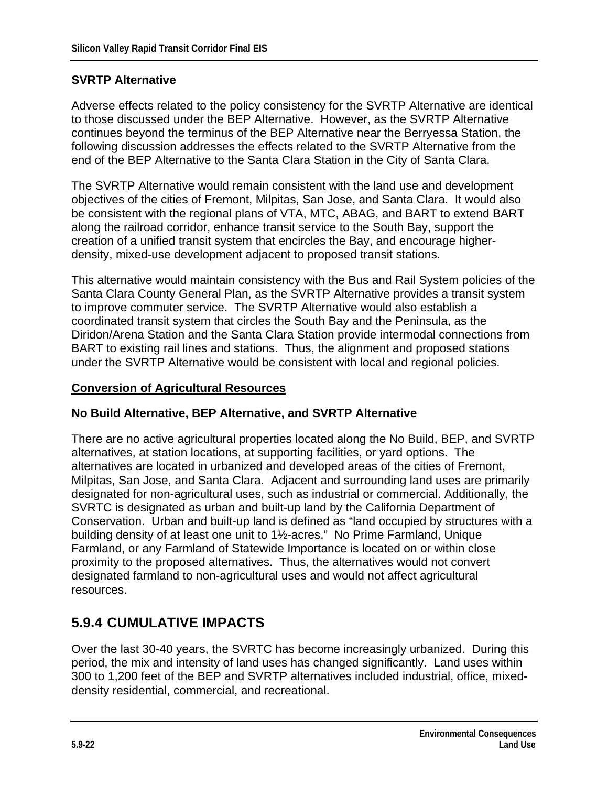#### **SVRTP Alternative**

Adverse effects related to the policy consistency for the SVRTP Alternative are identical to those discussed under the BEP Alternative. However, as the SVRTP Alternative continues beyond the terminus of the BEP Alternative near the Berryessa Station, the following discussion addresses the effects related to the SVRTP Alternative from the end of the BEP Alternative to the Santa Clara Station in the City of Santa Clara.

The SVRTP Alternative would remain consistent with the land use and development objectives of the cities of Fremont, Milpitas, San Jose, and Santa Clara. It would also be consistent with the regional plans of VTA, MTC, ABAG, and BART to extend BART along the railroad corridor, enhance transit service to the South Bay, support the creation of a unified transit system that encircles the Bay, and encourage higherdensity, mixed-use development adjacent to proposed transit stations.

This alternative would maintain consistency with the Bus and Rail System policies of the Santa Clara County General Plan, as the SVRTP Alternative provides a transit system to improve commuter service. The SVRTP Alternative would also establish a coordinated transit system that circles the South Bay and the Peninsula, as the Diridon/Arena Station and the Santa Clara Station provide intermodal connections from BART to existing rail lines and stations. Thus, the alignment and proposed stations under the SVRTP Alternative would be consistent with local and regional policies.

#### **Conversion of Agricultural Resources**

#### **No Build Alternative, BEP Alternative, and SVRTP Alternative**

There are no active agricultural properties located along the No Build, BEP, and SVRTP alternatives, at station locations, at supporting facilities, or yard options. The alternatives are located in urbanized and developed areas of the cities of Fremont, Milpitas, San Jose, and Santa Clara. Adjacent and surrounding land uses are primarily designated for non-agricultural uses, such as industrial or commercial. Additionally, the SVRTC is designated as urban and built-up land by the California Department of Conservation. Urban and built-up land is defined as "land occupied by structures with a building density of at least one unit to 1½-acres." No Prime Farmland, Unique Farmland, or any Farmland of Statewide Importance is located on or within close proximity to the proposed alternatives. Thus, the alternatives would not convert designated farmland to non-agricultural uses and would not affect agricultural resources.

## **5.9.4 CUMULATIVE IMPACTS**

Over the last 30-40 years, the SVRTC has become increasingly urbanized. During this period, the mix and intensity of land uses has changed significantly. Land uses within 300 to 1,200 feet of the BEP and SVRTP alternatives included industrial, office, mixeddensity residential, commercial, and recreational.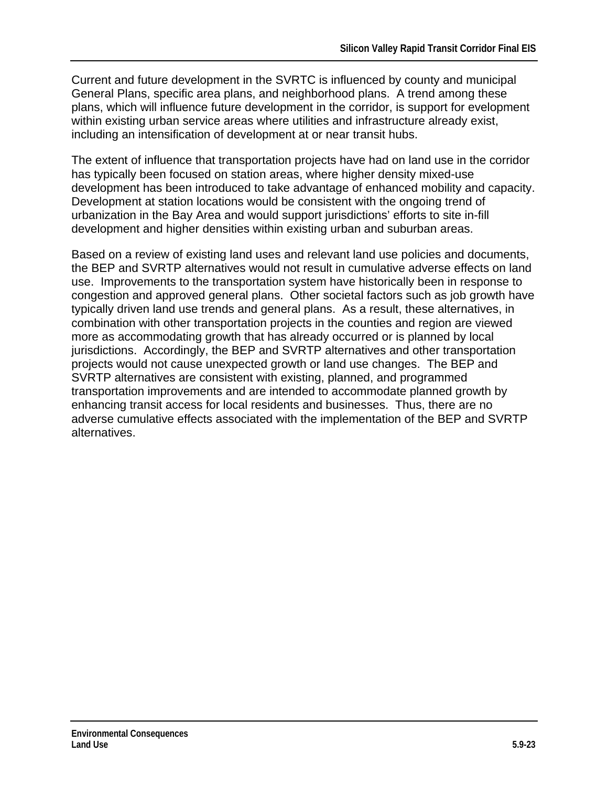Current and future development in the SVRTC is influenced by county and municipal General Plans, specific area plans, and neighborhood plans. A trend among these plans, which will influence future development in the corridor, is support for evelopment within existing urban service areas where utilities and infrastructure already exist, including an intensification of development at or near transit hubs.

The extent of influence that transportation projects have had on land use in the corridor has typically been focused on station areas, where higher density mixed-use development has been introduced to take advantage of enhanced mobility and capacity. Development at station locations would be consistent with the ongoing trend of urbanization in the Bay Area and would support jurisdictions' efforts to site in-fill development and higher densities within existing urban and suburban areas.

Based on a review of existing land uses and relevant land use policies and documents, the BEP and SVRTP alternatives would not result in cumulative adverse effects on land use. Improvements to the transportation system have historically been in response to congestion and approved general plans. Other societal factors such as job growth have typically driven land use trends and general plans. As a result, these alternatives, in combination with other transportation projects in the counties and region are viewed more as accommodating growth that has already occurred or is planned by local jurisdictions. Accordingly, the BEP and SVRTP alternatives and other transportation projects would not cause unexpected growth or land use changes. The BEP and SVRTP alternatives are consistent with existing, planned, and programmed transportation improvements and are intended to accommodate planned growth by enhancing transit access for local residents and businesses. Thus, there are no adverse cumulative effects associated with the implementation of the BEP and SVRTP alternatives.